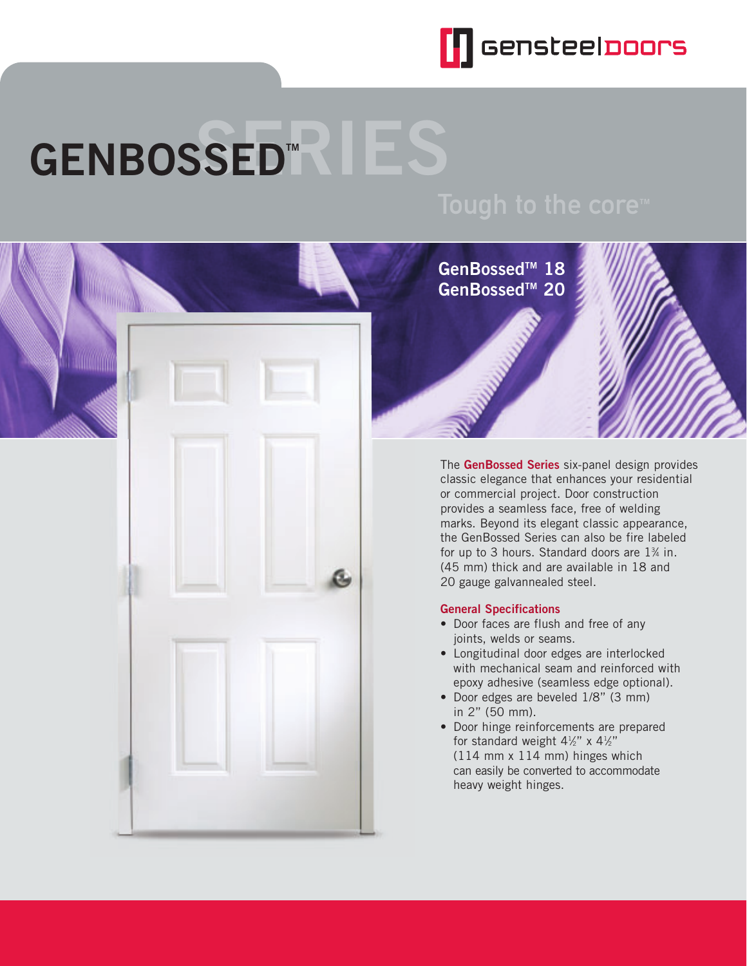

# **GENBOSSED™**

**GenBossedTM 18 GenBossedTM 20**

**CONTRACTOR** 



The **GenBossed Series** six-panel design provides classic elegance that enhances your residential or commercial project. Door construction provides a seamless face, free of welding marks. Beyond its elegant classic appearance, the GenBossed Series can also be fire labeled for up to 3 hours. Standard doors are  $1\%$  in. (45 mm) thick and are available in 18 and 20 gauge galvannealed steel.

### **General Specifications**

- Door faces are flush and free of any joints, welds or seams.
- Longitudinal door edges are interlocked with mechanical seam and reinforced with epoxy adhesive (seamless edge optional).
- Door edges are beveled 1/8" (3 mm) in 2" (50 mm).
- Door hinge reinforcements are prepared for standard weight  $4\frac{1}{2}$ " x  $4\frac{1}{2}$ " (114 mm x 114 mm) hinges which can easily be converted to accommodate heavy weight hinges.